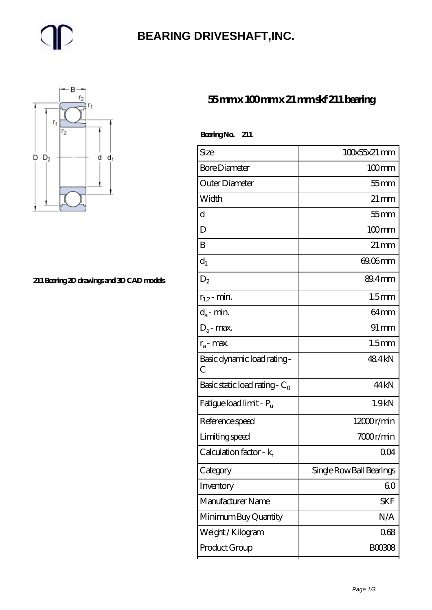## **[BEARING DRIVESHAFT,INC.](https://m.trendco-vick.com)**



#### **[211 Bearing 2D drawings and 3D CAD models](https://m.trendco-vick.com/pic-411405.html)**

### **[55 mm x 100 mm x 21 mm skf 211 bearing](https://m.trendco-vick.com/skf-211-bearing/)**

| Bearing No. 211 |  |
|-----------------|--|
|                 |  |

| Size                                | 100x55x21 mm             |
|-------------------------------------|--------------------------|
| <b>Bore Diameter</b>                | $100 \text{mm}$          |
| Outer Diameter                      | $55$ mm                  |
| Width                               | $21 \,\mathrm{mm}$       |
| d                                   | $55$ mm                  |
| D                                   | $100 \text{mm}$          |
| B                                   | $21 \,\mathrm{mm}$       |
| $d_1$                               | $69.06$ mm               |
| $D_{2}$                             | 89.4mm                   |
| $r_{1,2}$ - min.                    | 1.5 <sub>mm</sub>        |
| $d_a$ - min.                        | 64mm                     |
| $D_a$ - max.                        | $91 \, \text{mm}$        |
| $r_a$ - max.                        | 1.5 <sub>mm</sub>        |
| Basic dynamic load rating-<br>C     | 484kN                    |
| Basic static load rating - $C_0$    | 44 kN                    |
| Fatigue load limit - P <sub>u</sub> | 1.9kN                    |
| Reference speed                     | 12000r/min               |
| Limiting speed                      | 7000r/min                |
| Calculation factor - $k_r$          | QO4                      |
| Category                            | Single Row Ball Bearings |
| Inventory                           | 60                       |
| Manufacturer Name                   | <b>SKF</b>               |
| Minimum Buy Quantity                | N/A                      |
| Weight / Kilogram                   | 068                      |
| Product Group                       | <b>BOO3O8</b>            |
|                                     |                          |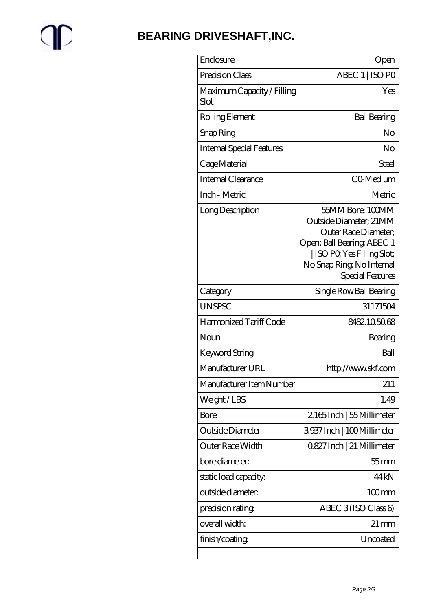# $\mathbb{P}$

## **[BEARING DRIVESHAFT,INC.](https://m.trendco-vick.com)**

| Enclosure                          | Open                                                                                                                                                                           |
|------------------------------------|--------------------------------------------------------------------------------------------------------------------------------------------------------------------------------|
| Precision Class                    | ABEC 1   ISO PO                                                                                                                                                                |
| Maximum Capacity / Filling<br>Slot | Yes                                                                                                                                                                            |
| Rolling Element                    | <b>Ball Bearing</b>                                                                                                                                                            |
| Snap Ring                          | No                                                                                                                                                                             |
| Internal Special Features          | No                                                                                                                                                                             |
| Cage Material                      | Steel                                                                                                                                                                          |
| Internal Clearance                 | CO-Medium                                                                                                                                                                      |
| Inch - Metric                      | Metric                                                                                                                                                                         |
| Long Description                   | 55MM Bore: 100MM<br>Outside Diameter; 21MM<br>Outer Race Diameter;<br>Open; Ball Bearing; ABEC 1<br>ISO PO, Yes Filling Slot;<br>No Snap Ring, No Internal<br>Special Features |
| Category                           | Single Row Ball Bearing                                                                                                                                                        |
| <b>UNSPSC</b>                      | 31171504                                                                                                                                                                       |
| Harmonized Tariff Code             | 8482105068                                                                                                                                                                     |
| Noun                               | Bearing                                                                                                                                                                        |
| Keyword String                     | Ball                                                                                                                                                                           |
| Manufacturer URL                   | http://www.skf.com                                                                                                                                                             |
| Manufacturer Item Number           | 211                                                                                                                                                                            |
| Weight/LBS                         | 1.49                                                                                                                                                                           |
| Bore                               | 2165Inch   55 Millimeter                                                                                                                                                       |
| Outside Diameter                   | 3937 Inch   100 Millimeter                                                                                                                                                     |
| Outer Race Width                   | 0827 Inch   21 Millimeter                                                                                                                                                      |
| bore diameter:                     | $55$ mm                                                                                                                                                                        |
| static load capacity.              | 44 <sub>kN</sub>                                                                                                                                                               |
| outside diameter:                  | $100 \text{mm}$                                                                                                                                                                |
| precision rating                   | ABEC $3$ (ISO Class 6)                                                                                                                                                         |
| overall width:                     | 21 mm                                                                                                                                                                          |
| finish/coating                     | Uncoated                                                                                                                                                                       |
|                                    |                                                                                                                                                                                |